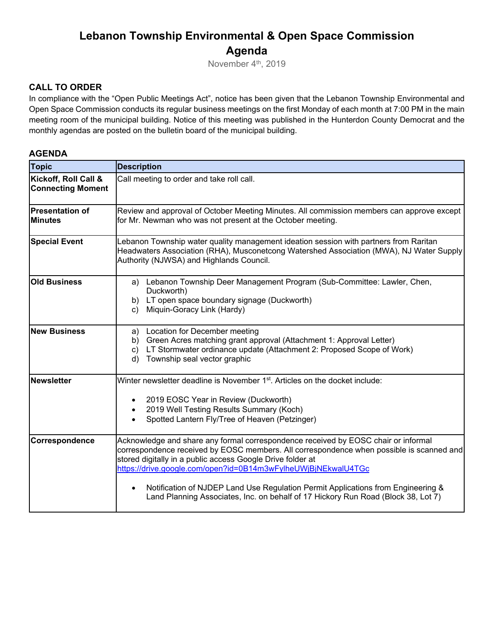# **Lebanon Township Environmental & Open Space Commission Agenda**

November 4<sup>th</sup>, 2019

### **CALL TO ORDER**

In compliance with the "Open Public Meetings Act", notice has been given that the Lebanon Township Environmental and Open Space Commission conducts its regular business meetings on the first Monday of each month at 7:00 PM in the main meeting room of the municipal building. Notice of this meeting was published in the Hunterdon County Democrat and the monthly agendas are posted on the bulletin board of the municipal building.

#### **AGENDA**

| <b>Topic</b>                                     | <b>Description</b>                                                                                                                                                                                                                                                                                                                                                                                                                                                                     |
|--------------------------------------------------|----------------------------------------------------------------------------------------------------------------------------------------------------------------------------------------------------------------------------------------------------------------------------------------------------------------------------------------------------------------------------------------------------------------------------------------------------------------------------------------|
| Kickoff, Roll Call &<br><b>Connecting Moment</b> | Call meeting to order and take roll call.                                                                                                                                                                                                                                                                                                                                                                                                                                              |
| <b>Presentation of</b><br><b>Minutes</b>         | Review and approval of October Meeting Minutes. All commission members can approve except<br>for Mr. Newman who was not present at the October meeting.                                                                                                                                                                                                                                                                                                                                |
| <b>Special Event</b>                             | Lebanon Township water quality management ideation session with partners from Raritan<br>Headwaters Association (RHA), Musconetcong Watershed Association (MWA), NJ Water Supply<br>Authority (NJWSA) and Highlands Council.                                                                                                                                                                                                                                                           |
| <b>Old Business</b>                              | a) Lebanon Township Deer Management Program (Sub-Committee: Lawler, Chen,<br>Duckworth)<br>b) LT open space boundary signage (Duckworth)<br>Miquin-Goracy Link (Hardy)<br>C)                                                                                                                                                                                                                                                                                                           |
| <b>New Business</b>                              | Location for December meeting<br>a)<br>Green Acres matching grant approval (Attachment 1: Approval Letter)<br>b)<br>LT Stormwater ordinance update (Attachment 2: Proposed Scope of Work)<br>$\mathbf{c})$<br>Township seal vector graphic<br>d)                                                                                                                                                                                                                                       |
| <b>Newsletter</b>                                | Winter newsletter deadline is November 1 <sup>st</sup> . Articles on the docket include:<br>2019 EOSC Year in Review (Duckworth)<br>$\bullet$<br>2019 Well Testing Results Summary (Koch)<br>Spotted Lantern Fly/Tree of Heaven (Petzinger)                                                                                                                                                                                                                                            |
| Correspondence                                   | Acknowledge and share any formal correspondence received by EOSC chair or informal<br>correspondence received by EOSC members. All correspondence when possible is scanned and<br>stored digitally in a public access Google Drive folder at<br>https://drive.google.com/open?id=0B14m3wFylheUWjBjNEkwalU4TGc<br>Notification of NJDEP Land Use Regulation Permit Applications from Engineering &<br>Land Planning Associates, Inc. on behalf of 17 Hickory Run Road (Block 38, Lot 7) |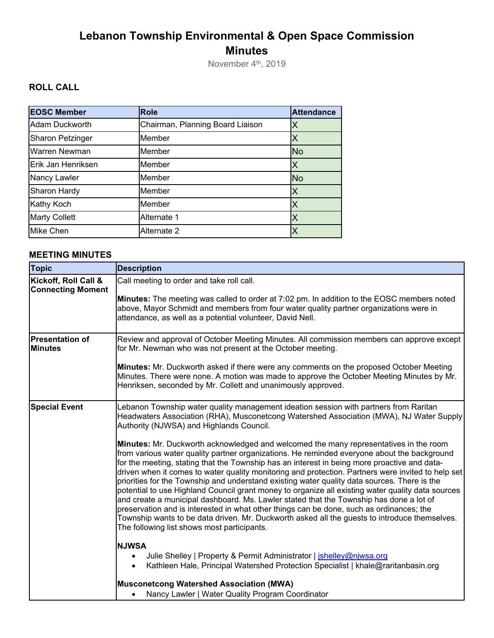# **Lebanon Township Environmental & Open Space Commission Minutes**

November 4<sup>th</sup>, 2019

# **ROLL CALL**

| <b>EOSC Member</b>      | <b>Role</b>                      | <b>Attendance</b> |
|-------------------------|----------------------------------|-------------------|
| Adam Duckworth          | Chairman, Planning Board Liaison |                   |
| <b>Sharon Petzinger</b> | Member                           |                   |
| <b>Warren Newman</b>    | Member                           | <b>No</b>         |
| Erik Jan Henriksen      | Member                           | Χ                 |
| Nancy Lawler            | Member                           | <b>No</b>         |
| <b>Sharon Hardy</b>     | Member                           |                   |
| Kathy Koch              | Member                           |                   |
| <b>Marty Collett</b>    | Alternate 1                      | Х                 |
| <b>Mike Chen</b>        | Alternate 2                      |                   |

## **MEETING MINUTES**

| <b>Topic</b>                                     | <b>Description</b>                                                                                                                                                                                                                                                                                                                                                                                                                                                                                                                                                                                                                                                                                                                                                                                                                                                                                                                                                                                                                                                                                                                                                                                                                                                                                                                                                                                                                                                                                       |
|--------------------------------------------------|----------------------------------------------------------------------------------------------------------------------------------------------------------------------------------------------------------------------------------------------------------------------------------------------------------------------------------------------------------------------------------------------------------------------------------------------------------------------------------------------------------------------------------------------------------------------------------------------------------------------------------------------------------------------------------------------------------------------------------------------------------------------------------------------------------------------------------------------------------------------------------------------------------------------------------------------------------------------------------------------------------------------------------------------------------------------------------------------------------------------------------------------------------------------------------------------------------------------------------------------------------------------------------------------------------------------------------------------------------------------------------------------------------------------------------------------------------------------------------------------------------|
| Kickoff, Roll Call &<br><b>Connecting Moment</b> | Call meeting to order and take roll call.<br>Minutes: The meeting was called to order at 7:02 pm. In addition to the EOSC members noted<br>above, Mayor Schmidt and members from four water quality partner organizations were in<br>attendance, as well as a potential volunteer, David Nell.                                                                                                                                                                                                                                                                                                                                                                                                                                                                                                                                                                                                                                                                                                                                                                                                                                                                                                                                                                                                                                                                                                                                                                                                           |
| <b>Presentation of</b><br><b>Minutes</b>         | Review and approval of October Meeting Minutes. All commission members can approve except<br>for Mr. Newman who was not present at the October meeting.<br>Minutes: Mr. Duckworth asked if there were any comments on the proposed October Meeting<br>Minutes. There were none. A motion was made to approve the October Meeting Minutes by Mr.<br>Henriksen, seconded by Mr. Collett and unanimously approved.                                                                                                                                                                                                                                                                                                                                                                                                                                                                                                                                                                                                                                                                                                                                                                                                                                                                                                                                                                                                                                                                                          |
| <b>Special Event</b>                             | Lebanon Township water quality management ideation session with partners from Raritan<br>Headwaters Association (RHA), Musconetcong Watershed Association (MWA), NJ Water Supply<br>Authority (NJWSA) and Highlands Council.<br><b>Minutes:</b> Mr. Duckworth acknowledged and welcomed the many representatives in the room<br>from various water quality partner organizations. He reminded everyone about the background<br>for the meeting, stating that the Township has an interest in being more proactive and data-<br>driven when it comes to water quality monitoring and protection. Partners were invited to help set<br>priorities for the Township and understand existing water quality data sources. There is the<br>potential to use Highland Council grant money to organize all existing water quality data sources<br>and create a municipal dashboard. Ms. Lawler stated that the Township has done a lot of<br>preservation and is interested in what other things can be done, such as ordinances; the<br>Township wants to be data driven. Mr. Duckworth asked all the guests to introduce themselves.<br>The following list shows most participants.<br><b>NJWSA</b><br>Julie Shelley   Property & Permit Administrator   jshelley@njwsa.org<br>$\bullet$<br>Kathleen Hale, Principal Watershed Protection Specialist   khale@raritanbasin.org<br>$\bullet$<br><b>Musconetcong Watershed Association (MWA)</b><br>Nancy Lawler   Water Quality Program Coordinator<br>$\bullet$ |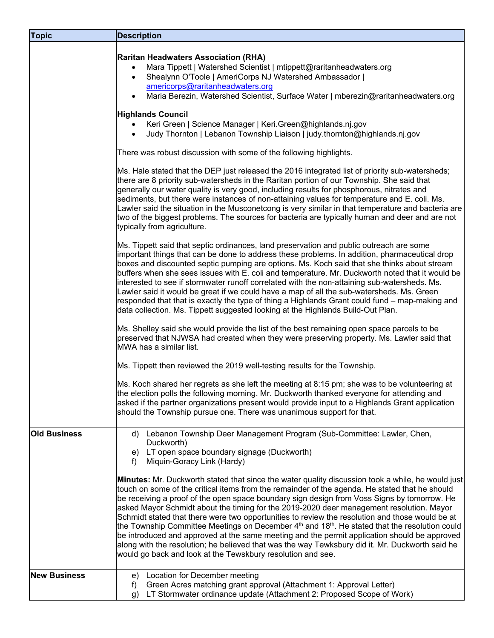| <b>Topic</b>        | <b>Description</b>                                                                                                                                                                                                                                                                                                                                                                                                                                                                                                                                                                                                                                                                                                                                                                                                                                                                            |
|---------------------|-----------------------------------------------------------------------------------------------------------------------------------------------------------------------------------------------------------------------------------------------------------------------------------------------------------------------------------------------------------------------------------------------------------------------------------------------------------------------------------------------------------------------------------------------------------------------------------------------------------------------------------------------------------------------------------------------------------------------------------------------------------------------------------------------------------------------------------------------------------------------------------------------|
|                     | <b>Raritan Headwaters Association (RHA)</b><br>Mara Tippett   Watershed Scientist   mtippett@raritanheadwaters.org<br>$\bullet$<br>Shealynn O'Toole   AmeriCorps NJ Watershed Ambassador  <br>$\bullet$<br>americorps@raritanheadwaters.org<br>Maria Berezin, Watershed Scientist, Surface Water   mberezin@raritanheadwaters.org                                                                                                                                                                                                                                                                                                                                                                                                                                                                                                                                                             |
|                     | <b>Highlands Council</b><br>Keri Green   Science Manager   Keri Green@highlands.nj.gov<br>$\bullet$<br>Judy Thornton   Lebanon Township Liaison   judy.thornton@highlands.nj.gov<br>$\bullet$                                                                                                                                                                                                                                                                                                                                                                                                                                                                                                                                                                                                                                                                                                 |
|                     | There was robust discussion with some of the following highlights.                                                                                                                                                                                                                                                                                                                                                                                                                                                                                                                                                                                                                                                                                                                                                                                                                            |
|                     | Ms. Hale stated that the DEP just released the 2016 integrated list of priority sub-watersheds;<br>there are 8 priority sub-watersheds in the Raritan portion of our Township. She said that<br>generally our water quality is very good, including results for phosphorous, nitrates and<br>sediments, but there were instances of non-attaining values for temperature and E. coli. Ms.<br>Lawler said the situation in the Musconetcong is very similar in that temperature and bacteria are<br>two of the biggest problems. The sources for bacteria are typically human and deer and are not<br>typically from agriculture.                                                                                                                                                                                                                                                              |
|                     | Ms. Tippett said that septic ordinances, land preservation and public outreach are some<br>important things that can be done to address these problems. In addition, pharmaceutical drop<br>boxes and discounted septic pumping are options. Ms. Koch said that she thinks about stream<br>buffers when she sees issues with E. coli and temperature. Mr. Duckworth noted that it would be<br>interested to see if stormwater runoff correlated with the non-attaining sub-watersheds. Ms.<br>Lawler said it would be great if we could have a map of all the sub-watersheds. Ms. Green<br>responded that that is exactly the type of thing a Highlands Grant could fund – map-making and<br>data collection. Ms. Tippett suggested looking at the Highlands Build-Out Plan.                                                                                                                  |
|                     | Ms. Shelley said she would provide the list of the best remaining open space parcels to be<br>preserved that NJWSA had created when they were preserving property. Ms. Lawler said that<br>MWA has a similar list.                                                                                                                                                                                                                                                                                                                                                                                                                                                                                                                                                                                                                                                                            |
|                     | Ms. Tippett then reviewed the 2019 well-testing results for the Township.                                                                                                                                                                                                                                                                                                                                                                                                                                                                                                                                                                                                                                                                                                                                                                                                                     |
|                     | Ms. Koch shared her regrets as she left the meeting at 8:15 pm; she was to be volunteering at<br>the election polls the following morning. Mr. Duckworth thanked everyone for attending and<br>asked if the partner organizations present would provide input to a Highlands Grant application<br>should the Township pursue one. There was unanimous support for that.                                                                                                                                                                                                                                                                                                                                                                                                                                                                                                                       |
| <b>Old Business</b> | Lebanon Township Deer Management Program (Sub-Committee: Lawler, Chen,<br>d)<br>Duckworth)<br>LT open space boundary signage (Duckworth)<br>e)<br>Miquin-Goracy Link (Hardy)<br>f)                                                                                                                                                                                                                                                                                                                                                                                                                                                                                                                                                                                                                                                                                                            |
|                     | Minutes: Mr. Duckworth stated that since the water quality discussion took a while, he would just<br>touch on some of the critical items from the remainder of the agenda. He stated that he should<br>be receiving a proof of the open space boundary sign design from Voss Signs by tomorrow. He<br>asked Mayor Schmidt about the timing for the 2019-2020 deer management resolution. Mayor<br>Schmidt stated that there were two opportunities to review the resolution and those would be at<br>the Township Committee Meetings on December 4 <sup>th</sup> and 18 <sup>th</sup> . He stated that the resolution could<br>be introduced and approved at the same meeting and the permit application should be approved<br>along with the resolution; he believed that was the way Tewksbury did it. Mr. Duckworth said he<br>would go back and look at the Tewskbury resolution and see. |
| <b>New Business</b> | Location for December meeting<br>e)<br>Green Acres matching grant approval (Attachment 1: Approval Letter)<br>f)<br>LT Stormwater ordinance update (Attachment 2: Proposed Scope of Work)<br>g)                                                                                                                                                                                                                                                                                                                                                                                                                                                                                                                                                                                                                                                                                               |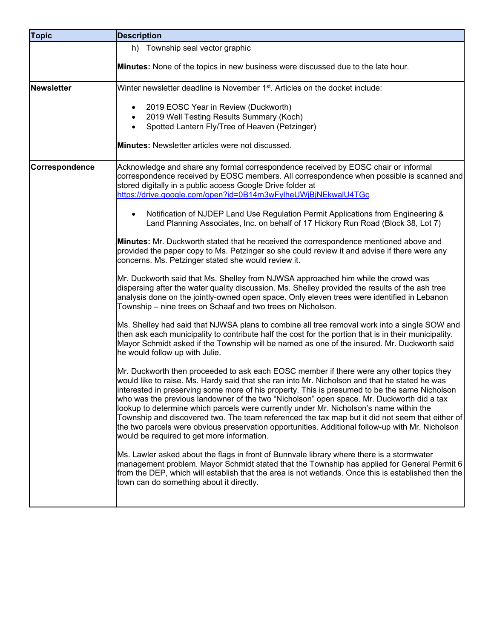| <b>Topic</b>   | <b>Description</b>                                                                                                                                                                                                                                                                                                                                                                                                                                                                                                                                                                                                                                                                                                                     |
|----------------|----------------------------------------------------------------------------------------------------------------------------------------------------------------------------------------------------------------------------------------------------------------------------------------------------------------------------------------------------------------------------------------------------------------------------------------------------------------------------------------------------------------------------------------------------------------------------------------------------------------------------------------------------------------------------------------------------------------------------------------|
|                | h) Township seal vector graphic                                                                                                                                                                                                                                                                                                                                                                                                                                                                                                                                                                                                                                                                                                        |
|                | Minutes: None of the topics in new business were discussed due to the late hour.                                                                                                                                                                                                                                                                                                                                                                                                                                                                                                                                                                                                                                                       |
| Newsletter     | Winter newsletter deadline is November 1 <sup>st</sup> . Articles on the docket include:                                                                                                                                                                                                                                                                                                                                                                                                                                                                                                                                                                                                                                               |
|                | 2019 EOSC Year in Review (Duckworth)<br>$\bullet$<br>2019 Well Testing Results Summary (Koch)<br>Spotted Lantern Fly/Tree of Heaven (Petzinger)<br>$\bullet$<br><b>Minutes:</b> Newsletter articles were not discussed.                                                                                                                                                                                                                                                                                                                                                                                                                                                                                                                |
| Correspondence | Acknowledge and share any formal correspondence received by EOSC chair or informal<br>correspondence received by EOSC members. All correspondence when possible is scanned and<br>stored digitally in a public access Google Drive folder at<br>https://drive.google.com/open?id=0B14m3wFylheUWjBjNEkwalU4TGc                                                                                                                                                                                                                                                                                                                                                                                                                          |
|                | Notification of NJDEP Land Use Regulation Permit Applications from Engineering &<br>$\bullet$<br>Land Planning Associates, Inc. on behalf of 17 Hickory Run Road (Block 38, Lot 7)                                                                                                                                                                                                                                                                                                                                                                                                                                                                                                                                                     |
|                | Minutes: Mr. Duckworth stated that he received the correspondence mentioned above and<br>provided the paper copy to Ms. Petzinger so she could review it and advise if there were any<br>concerns. Ms. Petzinger stated she would review it.                                                                                                                                                                                                                                                                                                                                                                                                                                                                                           |
|                | Mr. Duckworth said that Ms. Shelley from NJWSA approached him while the crowd was<br>dispersing after the water quality discussion. Ms. Shelley provided the results of the ash tree<br>analysis done on the jointly-owned open space. Only eleven trees were identified in Lebanon<br>Township – nine trees on Schaaf and two trees on Nicholson.                                                                                                                                                                                                                                                                                                                                                                                     |
|                | Ms. Shelley had said that NJWSA plans to combine all tree removal work into a single SOW and<br>then ask each municipality to contribute half the cost for the portion that is in their municipality.<br>Mayor Schmidt asked if the Township will be named as one of the insured. Mr. Duckworth said<br>he would follow up with Julie.                                                                                                                                                                                                                                                                                                                                                                                                 |
|                | Mr. Duckworth then proceeded to ask each EOSC member if there were any other topics they<br>would like to raise. Ms. Hardy said that she ran into Mr. Nicholson and that he stated he was<br>interested in preserving some more of his property. This is presumed to be the same Nicholson<br>who was the previous landowner of the two "Nicholson" open space. Mr. Duckworth did a tax<br>lookup to determine which parcels were currently under Mr. Nicholson's name within the<br>Township and discovered two. The team referenced the tax map but it did not seem that either of<br>the two parcels were obvious preservation opportunities. Additional follow-up with Mr. Nicholson<br>would be required to get more information. |
|                | Ms. Lawler asked about the flags in front of Bunnvale library where there is a stormwater<br>management problem. Mayor Schmidt stated that the Township has applied for General Permit 6<br>from the DEP, which will establish that the area is not wetlands. Once this is established then the<br>town can do something about it directly.                                                                                                                                                                                                                                                                                                                                                                                            |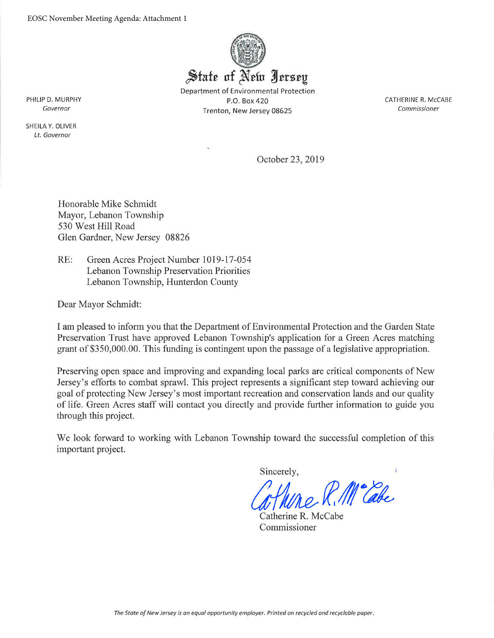

Department of Environmental Protection P.O. Box 420 Trenton, New Jersey 08625

CATHERINE R. McCABE Commissioner

PHILIP D. MURPHY Governor

SHEILA Y. OLIVER Lt. Governor

October 23, 2019

Honorable Mike Schmidt Mayor, Lebanon Township 530 West Hill Road Glen Gardner, New Jersey 08826

 $RE:$ Green Acres Project Number 1019-17-054 Lebanon Township Preservation Priorities Lebanon Township, Hunterdon County

Dear Mayor Schmidt:

I am pleased to inform you that the Department of Environmental Protection and the Garden State Preservation Trust have approved Lebanon Township's application for a Green Acres matching grant of \$350,000.00. This funding is contingent upon the passage of a legislative appropriation.

Preserving open space and improving and expanding local parks are critical components of New Jersey's efforts to combat sprawl. This project represents a significant step toward achieving our goal of protecting New Jersey's most important recreation and conservation lands and our quality of life. Green Acres staff will contact you directly and provide further information to guide you through this project.

We look forward to working with Lebanon Township toward the successful completion of this important project.

Sincerely,

Me R.M. Cabe

Catherine R. McCabe Commissioner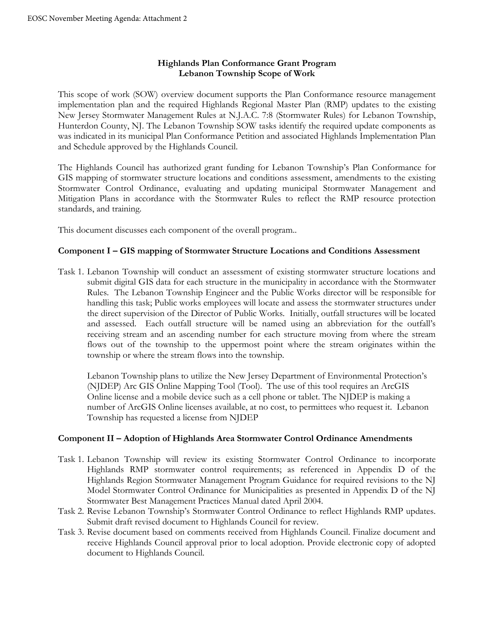### **Highlands Plan Conformance Grant Program Lebanon Township Scope of Work**

This scope of work (SOW) overview document supports the Plan Conformance resource management implementation plan and the required Highlands Regional Master Plan (RMP) updates to the existing New Jersey Stormwater Management Rules at N.J.A.C. 7:8 (Stormwater Rules) for Lebanon Township, Hunterdon County, NJ. The Lebanon Township SOW tasks identify the required update components as was indicated in its municipal Plan Conformance Petition and associated Highlands Implementation Plan and Schedule approved by the Highlands Council.

The Highlands Council has authorized grant funding for Lebanon Township's Plan Conformance for GIS mapping of stormwater structure locations and conditions assessment, amendments to the existing Stormwater Control Ordinance, evaluating and updating municipal Stormwater Management and Mitigation Plans in accordance with the Stormwater Rules to reflect the RMP resource protection standards, and training.

This document discusses each component of the overall program..

#### **Component I – GIS mapping of Stormwater Structure Locations and Conditions Assessment**

Task 1. Lebanon Township will conduct an assessment of existing stormwater structure locations and submit digital GIS data for each structure in the municipality in accordance with the Stormwater Rules. The Lebanon Township Engineer and the Public Works director will be responsible for handling this task; Public works employees will locate and assess the stormwater structures under the direct supervision of the Director of Public Works. Initially, outfall structures will be located and assessed. Each outfall structure will be named using an abbreviation for the outfall's receiving stream and an ascending number for each structure moving from where the stream flows out of the township to the uppermost point where the stream originates within the township or where the stream flows into the township.

Lebanon Township plans to utilize the New Jersey Department of Environmental Protection's (NJDEP) Arc GIS Online Mapping Tool (Tool). The use of this tool requires an ArcGIS Online license and a mobile device such as a cell phone or tablet. The NJDEP is making a number of ArcGIS Online licenses available, at no cost, to permittees who request it. Lebanon Township has requested a license from NJDEP

#### **Component II – Adoption of Highlands Area Stormwater Control Ordinance Amendments**

- Task 1. Lebanon Township will review its existing Stormwater Control Ordinance to incorporate Highlands RMP stormwater control requirements; as referenced in Appendix D of the Highlands Region Stormwater Management Program Guidance for required revisions to the NJ Model Stormwater Control Ordinance for Municipalities as presented in Appendix D of the NJ Stormwater Best Management Practices Manual dated April 2004.
- Task 2. Revise Lebanon Township's Stormwater Control Ordinance to reflect Highlands RMP updates. Submit draft revised document to Highlands Council for review.
- Task 3. Revise document based on comments received from Highlands Council. Finalize document and receive Highlands Council approval prior to local adoption. Provide electronic copy of adopted document to Highlands Council.